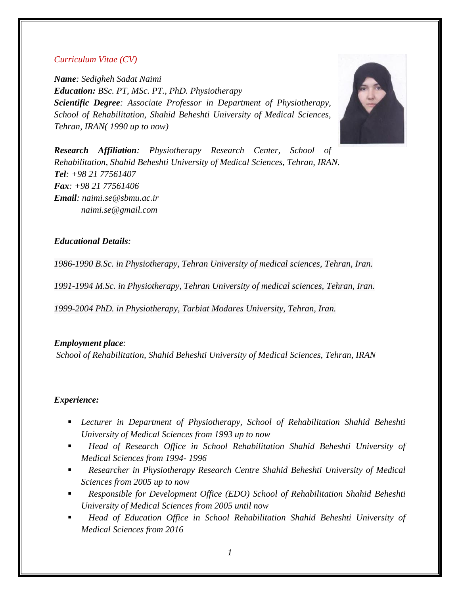# *Curriculum Vitae (CV)*

*Name: Sedigheh Sadat Naimi Education: BSc. PT, MSc. PT., PhD. Physiotherapy Scientific Degree: Associate Professor in Department of Physiotherapy, School of Rehabilitation, Shahid Beheshti University of Medical Sciences, Tehran, IRAN( 1990 up to now)*



*Research Affiliation: Physiotherapy Research Center, School of Rehabilitation, Shahid Beheshti University of Medical Sciences, Tehran, IRAN. Tel: +98 21 77561407 Fax: +98 21 77561406 Email: [naimi.se@sbmu.ac.ir](mailto:naimi.se@sbmu.ac.ir) naimi.se@gmail.com*

# *Educational Details:*

*1986-1990 B.Sc. in Physiotherapy, Tehran University of medical sciences, Tehran, Iran.*

*1991-1994 M.Sc. in Physiotherapy, Tehran University of medical sciences, Tehran, Iran.*

*1999-2004 PhD. in Physiotherapy, Tarbiat Modares University, Tehran, Iran.*

#### *Employment place:*

*School of Rehabilitation, Shahid Beheshti University of Medical Sciences, Tehran, IRAN*

# *Experience:*

- *Lecturer in Department of Physiotherapy, School of Rehabilitation Shahid Beheshti University of Medical Sciences from 1993 up to now*
- *Head of Research Office in School Rehabilitation Shahid Beheshti University of Medical Sciences from 1994- 1996*
- *Researcher in Physiotherapy Research Centre Shahid Beheshti University of Medical Sciences from 2005 up to now*
- *Responsible for Development Office (EDO) School of Rehabilitation Shahid Beheshti University of Medical Sciences from 2005 until now*
- *Head of Education Office in School Rehabilitation Shahid Beheshti University of Medical Sciences from 2016*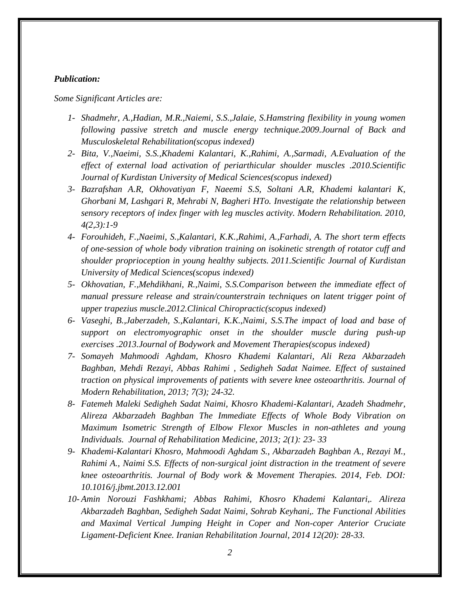# *Publication:*

*Some Significant Articles are:* 

- *1- Shadmehr, A.,Hadian, M.R.,Naiemi, S.S.,Jalaie, S.Hamstring flexibility in young women following passive stretch and muscle energy technique.2009.Journal of Back and Musculoskeletal Rehabilitation(scopus indexed)*
- *2- Bita, V.,Naeimi, S.S.,Khademi Kalantari, K.,Rahimi, A.,Sarmadi, A.Evaluation of the effect of external load activation of periarthicular shoulder muscles .2010.Scientific Journal of Kurdistan University of Medical Sciences(scopus indexed)*
- *3- Bazrafshan A.R, Okhovatiyan F, Naeemi S.S, Soltani A.R, Khademi kalantari K, Ghorbani M, Lashgari R, Mehrabi N, Bagheri HTo. Investigate the relationship between sensory receptors of index finger with leg muscles activity. Modern Rehabilitation. 2010, 4(2,3):1-9*
- *4- Forouhideh, F.,Naeimi, S.,Kalantari, K.K.,Rahimi, A.,Farhadi, A. The short term effects of one-session of whole body vibration training on isokinetic strength of rotator cuff and shoulder proprioception in young healthy subjects. 2011.Scientific Journal of Kurdistan University of Medical Sciences(scopus indexed)*
- *5- Okhovatian, F.,Mehdikhani, R.,Naimi, S.S.Comparison between the immediate effect of manual pressure release and strain/counterstrain techniques on latent trigger point of upper trapezius muscle.2012.Clinical Chiropractic(scopus indexed)*
- *6- Vaseghi, B.,Jaberzadeh, S.,Kalantari, K.K.,Naimi, S.S.The impact of load and base of support on electromyographic onset in the shoulder muscle during push-up exercises .2013.Journal of Bodywork and Movement Therapies(scopus indexed)*
- *7- Somayeh Mahmoodi Aghdam, Khosro Khademi Kalantari, Ali Reza Akbarzadeh Baghban, Mehdi Rezayi, Abbas Rahimi , Sedigheh Sadat Naimee. Effect of sustained traction on physical improvements of patients with severe knee osteoarthritis. Journal of Modern Rehabilitation, 2013; 7(3); 24-32.*
- *8- Fatemeh Maleki Sedigheh Sadat Naimi, Khosro Khademi-Kalantari, Azadeh Shadmehr, Alireza Akbarzadeh Baghban The Immediate Effects of Whole Body Vibration on Maximum Isometric Strength of Elbow Flexor Muscles in non-athletes and young Individuals. Journal of Rehabilitation Medicine, 2013; 2(1): 23- 33*
- *9- Khademi-Kalantari Khosro, Mahmoodi Aghdam S., Akbarzadeh Baghban A., Rezayi M., Rahimi A., Naimi S.S. Effects of non-surgical joint distraction in the treatment of severe knee osteoarthritis. Journal of Body work & Movement Therapies. 2014, Feb. DOI: 10.1016/j.jbmt.2013.12.001*
- *10- Amin Norouzi Fashkhami; Abbas Rahimi, Khosro Khademi Kalantari,. Alireza Akbarzadeh Baghban, Sedigheh Sadat Naimi, Sohrab Keyhani,. The Functional Abilities and Maximal Vertical Jumping Height in Coper and Non-coper Anterior Cruciate Ligament-Deficient Knee. Iranian Rehabilitation Journal, 2014 12(20): 28-33.*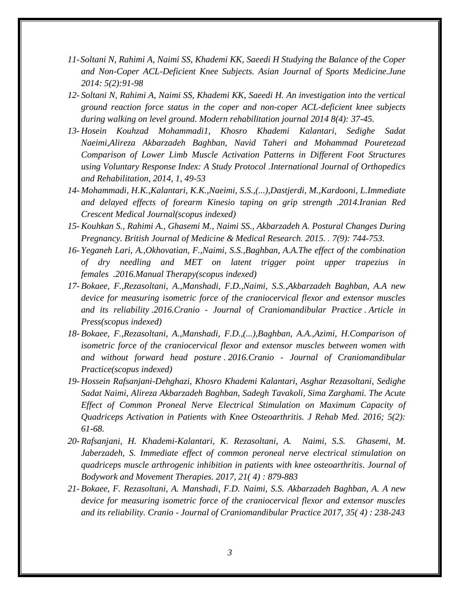- *11-Soltani N, Rahimi A, Naimi SS, Khademi KK, Saeedi H Studying the Balance of the Coper and Non-Coper ACL-Deficient Knee Subjects. Asian Journal of Sports Medicine.June 2014: 5(2):91-98*
- *12- Soltani N, Rahimi A, Naimi SS, Khademi KK, Saeedi H. An investigation into the vertical ground reaction force status in the coper and non-coper ACL-deficient knee subjects during walking on level ground. Modern rehabilitation journal 2014 8(4): 37-45.*
- *13- Hosein Kouhzad Mohammadi1, Khosro Khademi Kalantari, Sedighe Sadat Naeimi,Alireza Akbarzadeh Baghban, Navid Taheri and Mohammad Pouretezad Comparison of Lower Limb Muscle Activation Patterns in Different Foot Structures using Voluntary Response Index: A Study Protocol .International Journal of Orthopedics and Rehabilitation, 2014, 1, 49-53*
- *14- Mohammadi, H.K.,Kalantari, K.K.,Naeimi, S.S.,(...),Dastjerdi, M.,Kardooni, L.Immediate and delayed effects of forearm Kinesio taping on grip strength .2014.Iranian Red Crescent Medical Journal(scopus indexed)*
- *15- Kouhkan S., Rahimi A., Ghasemi M., Naimi SS., Akbarzadeh A. Postural Changes During Pregnancy. British Journal of Medicine & Medical Research. 2015. . 7(9): 744-753.*
- *16- Yeganeh Lari, A.,Okhovatian, F.,Naimi, S.S.,Baghban, A.A.The effect of the combination of dry needling and MET on latent trigger point upper trapezius in females .2016.Manual Therapy(scopus indexed)*
- *17- Bokaee, F.,Rezasoltani, A.,Manshadi, F.D.,Naimi, S.S.,Akbarzadeh Baghban, A.A new device for measuring isometric force of the craniocervical flexor and extensor muscles and its reliability .2016.Cranio - Journal of Craniomandibular Practice . Article in Press(scopus indexed)*
- *18- Bokaee, F.,Rezasoltani, A.,Manshadi, F.D.,(...),Baghban, A.A.,Azimi, H.Comparison of isometric force of the craniocervical flexor and extensor muscles between women with and without forward head posture . 2016.Cranio - Journal of Craniomandibular Practice(scopus indexed)*
- *19- Hossein Rafsanjani-Dehghazi, Khosro Khademi Kalantari, Asghar Rezasoltani, Sedighe Sadat Naimi, Alireza Akbarzadeh Baghban, Sadegh Tavakoli, Sima Zarghami. The Acute Effect of Common Proneal Nerve Electrical Stimulation on Maximum Capacity of Quadriceps Activation in Patients with Knee Osteoarthritis. J Rehab Med. 2016; 5(2): 61-68.*
- *20- [Rafsanjani, H.](https://www.scopus.com/authid/detail.uri?authorId=57193550261&eid=2-s2.0-85014746542) [Khademi-Kalantari, K.](https://www.scopus.com/authid/detail.uri?authorId=36944158200&eid=2-s2.0-85014746542) [Rezasoltani, A.](https://www.scopus.com/authid/detail.uri?authorId=6603332797&eid=2-s2.0-85014746542) [Naimi, S.S.](https://www.scopus.com/authid/detail.uri?authorId=55241493400&eid=2-s2.0-85014746542) [Ghasemi, M.](https://www.scopus.com/authid/detail.uri?authorId=54881023200&eid=2-s2.0-85014746542) [Jaberzadeh, S.](https://www.scopus.com/authid/detail.uri?authorId=6603095266&eid=2-s2.0-85014746542) Immediate effect of common peroneal nerve electrical stimulation on quadriceps muscle arthrogenic inhibition in patients with knee osteoarthritis. [Journal of](https://www.scopus.com/sourceid/16788?origin=recordpage)  [Bodywork and Movement Therapies.](https://www.scopus.com/sourceid/16788?origin=recordpage) 2017, 21( 4) : 879-883*
- *21- [Bokaee, F.](https://www.scopus.com/authid/detail.uri?authorId=36551133800&eid=2-s2.0-84979019741) [Rezasoltani, A.](https://www.scopus.com/authid/detail.uri?authorId=6603332797&eid=2-s2.0-84979019741) [Manshadi, F.D.](https://www.scopus.com/authid/detail.uri?authorId=35729125400&eid=2-s2.0-84979019741) [Naimi, S.S.](https://www.scopus.com/authid/detail.uri?authorId=55241493400&eid=2-s2.0-84979019741) [Akbarzadeh Baghban, A.](https://www.scopus.com/authid/detail.uri?authorId=35788693300&eid=2-s2.0-84979019741) A new device for measuring isometric force of the craniocervical flexor and extensor muscles and its reliability. Cranio - [Journal of Craniomandibular Practice](https://www.scopus.com/sourceid/29913?origin=recordpage) 2017, 35( 4) : 238-243*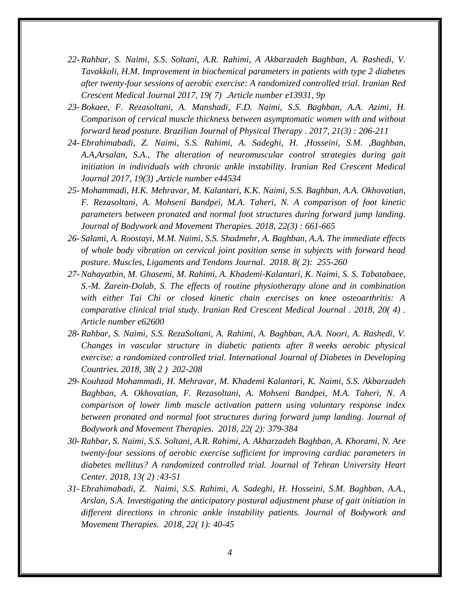- *22- [Rahbar, S.](https://www.scopus.com/authid/detail.uri?authorId=57195514978&eid=2-s2.0-85028536164) [Naimi, S.S.](https://www.scopus.com/authid/detail.uri?authorId=55241493400&eid=2-s2.0-85028536164) [Soltani, A.R.](https://www.scopus.com/authid/detail.uri?authorId=57195515065&eid=2-s2.0-85028536164) [Rahimi, A](https://www.scopus.com/authid/detail.uri?authorId=57197132505&eid=2-s2.0-85028536164) [Akbarzadeh Baghban, A.](https://www.scopus.com/authid/detail.uri?authorId=35788693300&eid=2-s2.0-85028536164) [Rashedi, V.](https://www.scopus.com/authid/detail.uri?authorId=55775014100&eid=2-s2.0-85028536164) [Tavakkoli, H.M.](https://www.scopus.com/authid/detail.uri?authorId=57195518558&eid=2-s2.0-85028536164) Improvement in biochemical parameters in patients with type 2 diabetes after twenty-four sessions of aerobic exercise: A randomized controlled trial. [Iranian Red](https://www.scopus.com/sourceid/17700155031?origin=recordpage)  [Crescent Medical Journal](https://www.scopus.com/sourceid/17700155031?origin=recordpage) 2017, 19( 7) .Article number e13931, 9p*
- *23- [Bokaee, F.](https://www.scopus.com/authid/detail.uri?authorId=36551133800&eid=2-s2.0-85030861979) [Rezasoltani, A.](https://www.scopus.com/authid/detail.uri?authorId=6603332797&eid=2-s2.0-85030861979) [Manshadi, F.D.](https://www.scopus.com/authid/detail.uri?authorId=35729125400&eid=2-s2.0-85030861979) [Naimi, S.S.](https://www.scopus.com/authid/detail.uri?authorId=55241493400&eid=2-s2.0-85030861979) [Baghban, A.A.](https://www.scopus.com/authid/detail.uri?authorId=35788693300&eid=2-s2.0-85030861979) [Azimi, H.](https://www.scopus.com/authid/detail.uri?authorId=56966434400&eid=2-s2.0-85030861979) Comparison of cervical muscle thickness between asymptomatic women with and without forward head posture. [Brazilian Journal of Physical Therapy](https://www.scopus.com/sourceid/10800153305?origin=recordpage) . 2017, 21(3) : 206-211*
- *24- [Ebrahimabadi, Z.](https://www.scopus.com/authid/detail.uri?authorId=57193624172&eid=2-s2.0-85015339995) [Naimi, S.S.](https://www.scopus.com/authid/detail.uri?authorId=55241493400&eid=2-s2.0-85015339995) [Rahimi, A.](https://www.scopus.com/authid/detail.uri?authorId=57197132505&eid=2-s2.0-85015339995) [Sadeghi, H.](https://www.scopus.com/authid/detail.uri?authorId=26221373700&eid=2-s2.0-85015339995) [,Hosseini, S.M.](https://www.scopus.com/authid/detail.uri?authorId=57189353842&eid=2-s2.0-85015339995) [,Baghban,](https://www.scopus.com/authid/detail.uri?authorId=35788693300&eid=2-s2.0-85015339995)  [A.A](https://www.scopus.com/authid/detail.uri?authorId=35788693300&eid=2-s2.0-85015339995)[,Arsalan, S.A.,](https://www.scopus.com/authid/detail.uri?authorId=57193626253&eid=2-s2.0-85015339995) The alteration of neuromuscular control strategies during gait initiation in individuals with chronic ankle instability. [Iranian Red Crescent Medical](https://www.scopus.com/sourceid/17700155031?origin=recordpage)  [Journal](https://www.scopus.com/sourceid/17700155031?origin=recordpage) 2017, 19(3) ,Article number e44534*
- *25- [Mohammadi, H.K.](https://www.scopus.com/authid/detail.uri?authorId=57191482946&eid=2-s2.0-85039452818) [Mehravar, M.](https://www.scopus.com/authid/detail.uri?authorId=57201088995&eid=2-s2.0-85039452818) [Kalantari, K.K.](https://www.scopus.com/authid/detail.uri?authorId=36944158200&eid=2-s2.0-85039452818) [Naimi, S.S.](https://www.scopus.com/authid/detail.uri?authorId=55241493400&eid=2-s2.0-85039452818) [Baghban, A.A.](https://www.scopus.com/authid/detail.uri?authorId=35788693300&eid=2-s2.0-85039452818) [Okhovatian,](https://www.scopus.com/authid/detail.uri?authorId=16302140400&eid=2-s2.0-85039452818)  [F.](https://www.scopus.com/authid/detail.uri?authorId=16302140400&eid=2-s2.0-85039452818) [Rezasoltani, A.](https://www.scopus.com/authid/detail.uri?authorId=57197870452&eid=2-s2.0-85039452818) [Mohseni Bandpei, M.A.](https://www.scopus.com/authid/detail.uri?authorId=56134001300&eid=2-s2.0-85039452818) [Taheri, N.](https://www.scopus.com/authid/detail.uri?authorId=57000216000&eid=2-s2.0-85039452818) A comparison of foot kinetic parameters between pronated and normal foot structures during forward jump landing. [Journal of Bodywork and Movement Therapies.](https://www.scopus.com/sourceid/16788?origin=recordpage) 2018, 22(3) : 661-665*
- *26- [Salami, A.](https://www.scopus.com/authid/detail.uri?authorId=57202755895&eid=2-s2.0-85049251895) [Roostayi, M.M.](https://www.scopus.com/authid/detail.uri?authorId=25723697500&eid=2-s2.0-85049251895) [Naimi, S.S.](https://www.scopus.com/authid/detail.uri?authorId=55241493400&eid=2-s2.0-85049251895) [Shadmehr, A.](https://www.scopus.com/authid/detail.uri?authorId=26538205800&eid=2-s2.0-85049251895) [Baghban, A.A.](https://www.scopus.com/authid/detail.uri?authorId=35788693300&eid=2-s2.0-85049251895) The immediate effects of whole body vibration on cervical joint position sense in subjects with forward head posture. [Muscles, Ligaments and Tendons Journal.](https://www.scopus.com/sourceid/21100284251?origin=recordpage) 2018. 8( 2): 255-260*
- *27- [Nahayatbin, M.](https://www.scopus.com/authid/detail.uri?authorId=57203354098&eid=2-s2.0-85051360929) [Ghasemi, M.](https://www.scopus.com/authid/detail.uri?authorId=54881023200&eid=2-s2.0-85051360929) [Rahimi, A.](https://www.scopus.com/authid/detail.uri?authorId=57197132505&eid=2-s2.0-85051360929) [Khademi-Kalantari, K.](https://www.scopus.com/authid/detail.uri?authorId=36944158200&eid=2-s2.0-85051360929) [Naimi, S. S.](https://www.scopus.com/authid/detail.uri?authorId=55241493400&eid=2-s2.0-85051360929) [Tabatabaee,](https://www.scopus.com/authid/detail.uri?authorId=54893829600&eid=2-s2.0-85051360929)  [S.-M.](https://www.scopus.com/authid/detail.uri?authorId=54893829600&eid=2-s2.0-85051360929) [Zarein-Dolab, S.](https://www.scopus.com/authid/detail.uri?authorId=57070465200&eid=2-s2.0-85051360929) The effects of routine physiotherapy alone and in combination with either Tai Chi or closed kinetic chain exercises on knee osteoarthritis: A comparative clinical trial study. [Iranian Red Crescent Medical Journal](https://www.scopus.com/sourceid/17700155031?origin=recordpage) . 2018, 20( 4) . Article number e62600*
- *28- [Rahbar, S.](https://www.scopus.com/authid/detail.uri?authorId=57195514978&eid=2-s2.0-85046634502) [Naimi, S.S.](https://www.scopus.com/authid/detail.uri?authorId=55241493400&eid=2-s2.0-85046634502) [RezaSoltani, A.](https://www.scopus.com/authid/detail.uri?authorId=57197870452&eid=2-s2.0-85046634502) [Rahimi, A.](https://www.scopus.com/authid/detail.uri?authorId=57197132505&eid=2-s2.0-85046634502) [Baghban, A.A.](https://www.scopus.com/authid/detail.uri?authorId=35788693300&eid=2-s2.0-85046634502) [Noori, A.](https://www.scopus.com/authid/detail.uri?authorId=57201985089&eid=2-s2.0-85046634502) [Rashedi, V.](https://www.scopus.com/authid/detail.uri?authorId=55775014100&eid=2-s2.0-85046634502) Changes in vascular structure in diabetic patients after 8 weeks aerobic physical exercise: a randomized controlled trial. [International Journal of Diabetes in Developing](https://www.scopus.com/sourceid/4700152901?origin=recordpage)  [Countries.](https://www.scopus.com/sourceid/4700152901?origin=recordpage) 2018, 38( 2 ) 202-208*
- *29- [Kouhzad Mohammadi, H.](https://www.scopus.com/authid/detail.uri?authorId=36992161400&eid=2-s2.0-85026307137) [Mehravar, M.](https://www.scopus.com/authid/detail.uri?authorId=57201088995&eid=2-s2.0-85026307137) [Khademi Kalantari, K.](https://www.scopus.com/authid/detail.uri?authorId=36944158200&eid=2-s2.0-85026307137) [Naimi, S.S.](https://www.scopus.com/authid/detail.uri?authorId=55241493400&eid=2-s2.0-85026307137) [Akbarzadeh](https://www.scopus.com/authid/detail.uri?authorId=35788693300&eid=2-s2.0-85026307137)  [Baghban, A.](https://www.scopus.com/authid/detail.uri?authorId=35788693300&eid=2-s2.0-85026307137) [Okhovatian, F.](https://www.scopus.com/authid/detail.uri?authorId=16302140400&eid=2-s2.0-85026307137) [Rezasoltani, A.](https://www.scopus.com/authid/detail.uri?authorId=6603332797&eid=2-s2.0-85026307137) [Mohseni Bandpei, M.A.](https://www.scopus.com/authid/detail.uri?authorId=56134001300&eid=2-s2.0-85026307137) [Taheri, N.](https://www.scopus.com/authid/detail.uri?authorId=57000216000&eid=2-s2.0-85026307137) A comparison of lower limb muscle activation pattern using voluntary response index between pronated and normal foot structures during forward jump landing. [Journal of](https://www.scopus.com/sourceid/16788?origin=recordpage)  [Bodywork and Movement Therapies.](https://www.scopus.com/sourceid/16788?origin=recordpage) 2018, 22( 2): 379-384*
- *30- [Rahbar, S.](https://www.scopus.com/authid/detail.uri?authorId=57195514978&eid=2-s2.0-85047563830) [Naimi, S.S.](https://www.scopus.com/authid/detail.uri?authorId=55241493400&eid=2-s2.0-85047563830) [Soltani, A.R.](https://www.scopus.com/authid/detail.uri?authorId=57195515065&eid=2-s2.0-85047563830) [Rahimi, A.](https://www.scopus.com/authid/detail.uri?authorId=57197132505&eid=2-s2.0-85047563830) [Akbarzadeh Baghban, A.](https://www.scopus.com/authid/detail.uri?authorId=35788693300&eid=2-s2.0-85047563830) [Khorami, N.](https://www.scopus.com/authid/detail.uri?authorId=57195155227&eid=2-s2.0-85047563830) Are twenty-four sessions of aerobic exercise sufficient for improving cardiac parameters in diabetes mellitus? A randomized controlled trial. [Journal of Tehran University Heart](https://www.scopus.com/sourceid/19700174888?origin=recordpage)  [Center.](https://www.scopus.com/sourceid/19700174888?origin=recordpage) 2018, 13( 2) :43-51*
- *31- [Ebrahimabadi, Z.](https://www.scopus.com/authid/detail.uri?authorId=57193624172&eid=2-s2.0-85017223496) [Naimi, S.S.](https://www.scopus.com/authid/detail.uri?authorId=55241493400&eid=2-s2.0-85017223496) [Rahimi, A.](https://www.scopus.com/authid/detail.uri?authorId=57197132505&eid=2-s2.0-85017223496) [Sadeghi, H.](https://www.scopus.com/authid/detail.uri?authorId=26221373700&eid=2-s2.0-85017223496) [Hosseini, S.M.](https://www.scopus.com/authid/detail.uri?authorId=57189353842&eid=2-s2.0-85017223496) [Baghban, A.A.,](https://www.scopus.com/authid/detail.uri?authorId=35788693300&eid=2-s2.0-85017223496) [Arslan, S.A.](https://www.scopus.com/authid/detail.uri?authorId=57193872033&eid=2-s2.0-85017223496) Investigating the anticipatory postural adjustment phase of gait initiation in different directions in chronic ankle instability patients. [Journal of Bodywork and](https://www.scopus.com/sourceid/16788?origin=recordpage)  [Movement Therapies.](https://www.scopus.com/sourceid/16788?origin=recordpage) 2018, 22( 1): 40-45*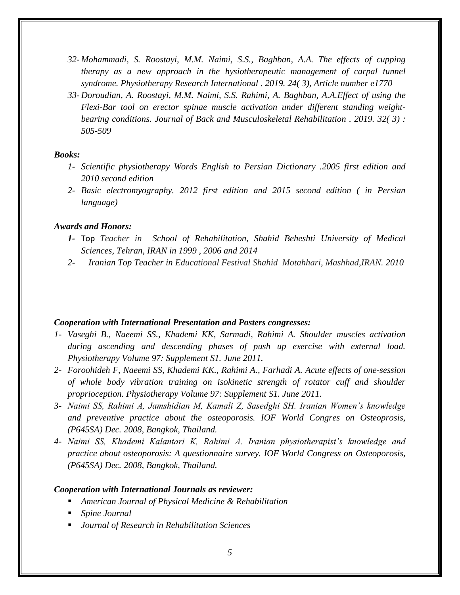- *32- [Mohammadi, S.](https://www.scopus.com/authid/detail.uri?authorId=57205606384&eid=2-s2.0-85060758222) [Roostayi, M.M.](https://www.scopus.com/authid/detail.uri?authorId=25723697500&eid=2-s2.0-85060758222) [Naimi, S.S.,](https://www.scopus.com/authid/detail.uri?authorId=55241493400&eid=2-s2.0-85060758222) [Baghban, A.A.](https://www.scopus.com/authid/detail.uri?authorId=35788693300&eid=2-s2.0-85060758222) The effects of cupping therapy as a new approach in the hysiotherapeutic management of carpal tunnel syndrome. [Physiotherapy Research International](https://www.scopus.com/sourceid/16949?origin=recordpage) . 2019. 24( 3), Article number e1770*
- *33- [Doroudian, A.](https://www.scopus.com/authid/detail.uri?authorId=57209023036&eid=2-s2.0-85066340025) [Roostayi, M.M.](https://www.scopus.com/authid/detail.uri?authorId=25723697500&eid=2-s2.0-85066340025) [Naimi, S.S.](https://www.scopus.com/authid/detail.uri?authorId=55241493400&eid=2-s2.0-85066340025) [Rahimi, A.](https://www.scopus.com/authid/detail.uri?authorId=57197132505&eid=2-s2.0-85066340025) [Baghban, A.A.E](https://www.scopus.com/authid/detail.uri?authorId=35788693300&eid=2-s2.0-85066340025)ffect of using the Flexi-Bar tool on erector spinae muscle activation under different standing weightbearing conditions. [Journal of Back and Musculoskeletal Rehabilitation](https://www.scopus.com/sourceid/12192?origin=recordpage) . 2019. 32( 3) : 505-509*

#### *Books:*

- *1- Scientific physiotherapy Words English to Persian Dictionary .2005 first edition and 2010 second edition*
- *2- Basic electromyography. 2012 first edition and 2015 second edition ( in Persian language)*

#### *Awards and Honors:*

- *1-* Top *Teacher in School of Rehabilitation, Shahid Beheshti University of Medical Sciences, Tehran, IRAN in 1999 , 2006 and 2014*
- *2- Iranian Top Teacher in Educational Festival Shahid Motahhari, Mashhad,IRAN. 2010*

# *Cooperation with International Presentation and Posters congresses:*

- *1- Vaseghi B., Naeemi SS., Khademi KK, Sarmadi, Rahimi A. Shoulder muscles activation during ascending and descending phases of push up exercise with external load. Physiotherapy Volume 97: Supplement S1. June 2011.*
- *2- Foroohideh F, Naeemi SS, Khademi KK., Rahimi A., Farhadi A. Acute effects of one-session of whole body vibration training on isokinetic strength of rotator cuff and shoulder proprioception. Physiotherapy Volume 97: Supplement S1. June 2011.*
- *3- Naimi SS, Rahimi A, Jamshidian M, Kamali Z, Sasedghi SH. Iranian Women's knowledge and preventive practice about the osteoporosis. IOF World Congres on Osteoprosis, (P645SA) Dec. 2008, Bangkok, Thailand.*
- *4- Naimi SS, Khademi Kalantari K, Rahimi A. Iranian physiotherapist's knowledge and practice about osteoporosis: A questionnaire survey. IOF World Congress on Osteoporosis, (P645SA) Dec. 2008, Bangkok, Thailand.*

#### *Cooperation with International Journals as reviewer:*

- *American Journal of Physical Medicine & Rehabilitation*
- *Spine Journal*
- *Journal of Research in Rehabilitation Sciences*